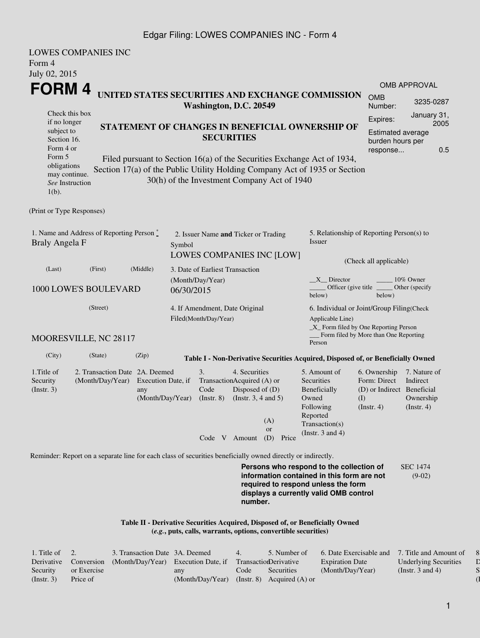#### Edgar Filing: LOWES COMPANIES INC - Form 4

| <b>LOWES COMPANIES INC</b><br>Form 4                                                                        |                                                    |                                                                   |                                                                                    |                           |                                                                                                             |                                                                      |                                                                                                                                                                         |                                                                                             |                                                           |  |  |  |
|-------------------------------------------------------------------------------------------------------------|----------------------------------------------------|-------------------------------------------------------------------|------------------------------------------------------------------------------------|---------------------------|-------------------------------------------------------------------------------------------------------------|----------------------------------------------------------------------|-------------------------------------------------------------------------------------------------------------------------------------------------------------------------|---------------------------------------------------------------------------------------------|-----------------------------------------------------------|--|--|--|
| July 02, 2015                                                                                               |                                                    |                                                                   |                                                                                    |                           |                                                                                                             |                                                                      |                                                                                                                                                                         |                                                                                             |                                                           |  |  |  |
|                                                                                                             |                                                    |                                                                   |                                                                                    |                           |                                                                                                             |                                                                      |                                                                                                                                                                         |                                                                                             | OMB APPROVAL                                              |  |  |  |
| FORM 4<br>UNITED STATES SECURITIES AND EXCHANGE COMMISSION<br>Washington, D.C. 20549                        |                                                    |                                                                   |                                                                                    |                           |                                                                                                             |                                                                      |                                                                                                                                                                         | <b>OMB</b><br>Number:                                                                       | 3235-0287                                                 |  |  |  |
| Check this box<br>if no longer<br>subject to<br>Section 16.<br>Form 4 or                                    |                                                    |                                                                   |                                                                                    | <b>SECURITIES</b>         | STATEMENT OF CHANGES IN BENEFICIAL OWNERSHIP OF                                                             | Expires:<br><b>Estimated average</b><br>burden hours per<br>response | January 31,<br>2005<br>0.5                                                                                                                                              |                                                                                             |                                                           |  |  |  |
| Form 5<br>obligations<br>may continue.<br>See Instruction<br>$1(b)$ .                                       |                                                    |                                                                   |                                                                                    |                           |                                                                                                             | 30(h) of the Investment Company Act of 1940                          | Filed pursuant to Section 16(a) of the Securities Exchange Act of 1934,<br>Section 17(a) of the Public Utility Holding Company Act of 1935 or Section                   |                                                                                             |                                                           |  |  |  |
| (Print or Type Responses)                                                                                   |                                                    |                                                                   |                                                                                    |                           |                                                                                                             |                                                                      |                                                                                                                                                                         |                                                                                             |                                                           |  |  |  |
| 1. Name and Address of Reporting Person $\stackrel{*}{\mathbb{L}}$<br>Braly Angela F                        |                                                    |                                                                   | 2. Issuer Name and Ticker or Trading<br>Symbol<br><b>LOWES COMPANIES INC [LOW]</b> |                           |                                                                                                             |                                                                      | 5. Relationship of Reporting Person(s) to<br>Issuer                                                                                                                     |                                                                                             |                                                           |  |  |  |
|                                                                                                             | (First)                                            |                                                                   |                                                                                    |                           |                                                                                                             |                                                                      |                                                                                                                                                                         | (Check all applicable)                                                                      |                                                           |  |  |  |
| (Last)                                                                                                      | (Middle)                                           | 3. Date of Earliest Transaction<br>(Month/Day/Year)<br>06/30/2015 |                                                                                    |                           |                                                                                                             | 10% Owner<br>$X$ Director                                            |                                                                                                                                                                         |                                                                                             |                                                           |  |  |  |
| 1000 LOWE'S BOULEVARD                                                                                       |                                                    |                                                                   |                                                                                    |                           |                                                                                                             | Officer (give title<br>Other (specify<br>below)<br>below)            |                                                                                                                                                                         |                                                                                             |                                                           |  |  |  |
|                                                                                                             |                                                    | 4. If Amendment, Date Original                                    |                                                                                    |                           |                                                                                                             | 6. Individual or Joint/Group Filing(Check                            |                                                                                                                                                                         |                                                                                             |                                                           |  |  |  |
| MOORESVILLE, NC 28117                                                                                       |                                                    |                                                                   |                                                                                    | Filed(Month/Day/Year)     |                                                                                                             |                                                                      | Applicable Line)<br>$\_X$ Form filed by One Reporting Person<br>Person                                                                                                  | Form filed by More than One Reporting                                                       |                                                           |  |  |  |
| (City)                                                                                                      | (State)                                            | (Zip)                                                             |                                                                                    |                           |                                                                                                             |                                                                      | Table I - Non-Derivative Securities Acquired, Disposed of, or Beneficially Owned                                                                                        |                                                                                             |                                                           |  |  |  |
| 1. Title of<br>Security<br>(Insert. 3)                                                                      | 2. Transaction Date 2A. Deemed<br>(Month/Day/Year) | Execution Date, if<br>any<br>(Month/Day/Year)                     |                                                                                    | 3.<br>Code<br>(Insert, 8) | 4. Securities<br>TransactionAcquired (A) or<br>Disposed of (D)<br>(Instr. $3, 4$ and $5$ )<br>Code V Amount | (A)<br><b>or</b><br>(D)<br>Price                                     | 5. Amount of<br>Securities<br>Beneficially<br>Owned<br>Following<br>Reported<br>Transaction(s)<br>(Instr. $3$ and $4$ )                                                 | 6. Ownership<br>Form: Direct<br>(D) or Indirect Beneficial<br>$\rm (I)$<br>$($ Instr. 4 $)$ | 7. Nature of<br>Indirect<br>Ownership<br>$($ Instr. 4 $)$ |  |  |  |
|                                                                                                             |                                                    |                                                                   |                                                                                    |                           |                                                                                                             |                                                                      |                                                                                                                                                                         |                                                                                             |                                                           |  |  |  |
| Reminder: Report on a separate line for each class of securities beneficially owned directly or indirectly. |                                                    |                                                                   |                                                                                    |                           | number.                                                                                                     |                                                                      | Persons who respond to the collection of<br>information contained in this form are not<br>required to respond unless the form<br>displays a currently valid OMB control |                                                                                             | <b>SEC 1474</b><br>$(9-02)$                               |  |  |  |
|                                                                                                             |                                                    |                                                                   |                                                                                    |                           |                                                                                                             | (e.g., puts, calls, warrants, options, convertible securities)       | Table II - Derivative Securities Acquired, Disposed of, or Beneficially Owned                                                                                           |                                                                                             |                                                           |  |  |  |

| 1. Title of $\quad 2.$ |                       | 3. Transaction Date 3A. Deemed      |                                               | 4.   | 5. Number of          | 6. Date Exercisable and 7. Title and Amount of |                              |
|------------------------|-----------------------|-------------------------------------|-----------------------------------------------|------|-----------------------|------------------------------------------------|------------------------------|
|                        | Derivative Conversion | (Month/Day/Year) Execution Date, if |                                               |      | TransactionDerivative | <b>Expiration Date</b>                         | <b>Underlying Securities</b> |
| Security               | or Exercise           |                                     | any                                           | Code | Securities            | (Month/Day/Year)                               | (Instr. 3 and 4)             |
| (Insert. 3)            | Price of              |                                     | $(Month/Day/Year)$ (Instr. 8) Acquired (A) or |      |                       |                                                |                              |

8. Price of  $\mathbb D$  $\mathbf S$  $\overline{\mathbf 1}$